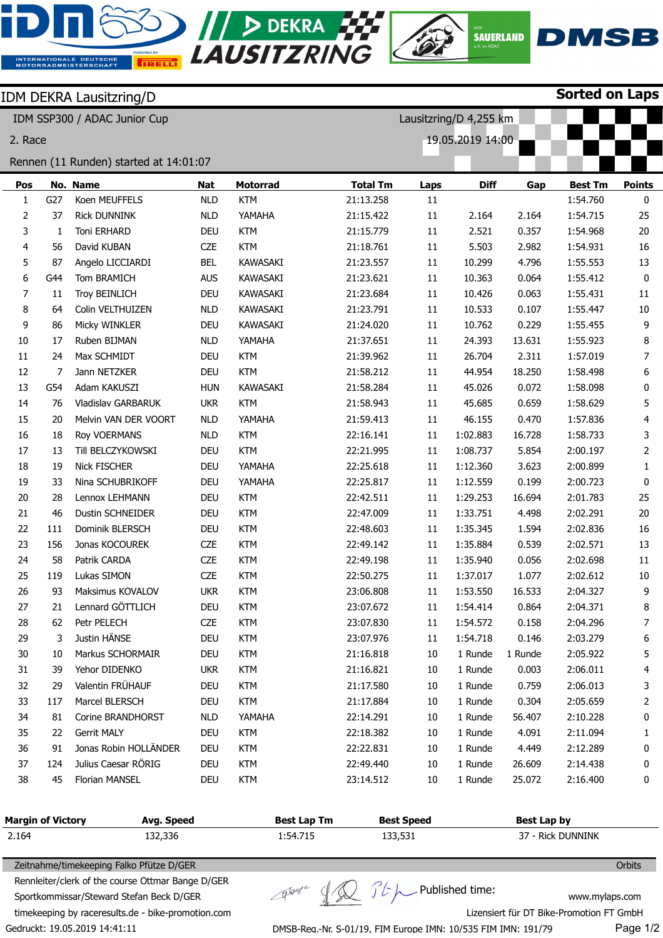

| Rennen (11 Runden) started at 14:01:07 |     |                       |            |                 |                 |             |                 |        |                |                |
|----------------------------------------|-----|-----------------------|------------|-----------------|-----------------|-------------|-----------------|--------|----------------|----------------|
| Pos                                    |     | No. Name              | Nat        | <b>Motorrad</b> | <b>Total Tm</b> | <b>Laps</b> | <b>Diff</b>     | Gap    | <b>Best Tm</b> | <b>Points</b>  |
| 1                                      | G27 | Koen MEUFFELS         | <b>NLD</b> | <b>KTM</b>      | 21:13.258       | $11\,$      |                 |        | 1:54.760       | 0              |
| 2                                      | 37  | <b>Rick DUNNINK</b>   | <b>NLD</b> | YAMAHA          | 21:15.422       | 11          | 2.164           | 2.164  | 1:54.715       | 25             |
| 3                                      | 1   | Toni ERHARD           | <b>DEU</b> | <b>KTM</b>      | 21:15.779       | 11          | 2.521           | 0.357  | 1:54.968       | 20             |
| 4                                      | 56  | David KUBAN           | <b>CZE</b> | <b>KTM</b>      | 21:18.761       | 11          | 5.503           | 2.982  | 1:54.931       | 16             |
| 5                                      | 87  | Angelo LICCIARDI      | <b>BEL</b> | KAWASAKI        | 21:23.557       | 11          | 10.299          | 4.796  | 1:55.553       | 13             |
| 6                                      | G44 | Tom BRAMICH           | <b>AUS</b> | KAWASAKI        | 21:23.621       | 11          | 10.363          | 0.064  | 1:55.412       | $\mathbf 0$    |
| 7                                      | 11  | <b>Troy BEINLICH</b>  | DEU        | KAWASAKI        | 21:23.684       | 11          | 10.426          | 0.063  | 1:55.431       | 11             |
| 8                                      | 64  | Colin VELTHUIZEN      | <b>NLD</b> | KAWASAKI        | 21:23.791       | 11          | 10.533          | 0.107  | 1:55.447       | $10\,$         |
| 9                                      | 86  | Micky WINKLER         | <b>DEU</b> | KAWASAKI        | 21:24.020       | 11          | 10.762          | 0.229  | 1:55.455       | 9              |
| 10                                     | 17  | Ruben BIJMAN          | <b>NLD</b> | YAMAHA          | 21:37.651       | 11          | 24.393          | 13.631 | 1:55.923       | 8              |
| $11\,$                                 | 24  | Max SCHMIDT           | DEU        | <b>KTM</b>      | 21:39.962       | 11          | 26.704          | 2.311  | 1:57.019       | $\overline{7}$ |
| 12                                     | 7   | Jann NETZKER          | DEU        | <b>KTM</b>      | 21:58.212       | 11          | 44.954          | 18.250 | 1:58.498       | 6              |
| 13                                     | G54 | Adam KAKUSZI          | <b>HUN</b> | KAWASAKI        | 21:58.284       | 11          | 45.026          | 0.072  | 1:58.098       | 0              |
| 14                                     | 76  | Vladislav GARBARUK    | <b>UKR</b> | <b>KTM</b>      | 21:58.943       | 11          | 45.685          | 0.659  | 1:58.629       | 5              |
| 15                                     | 20  | Melvin VAN DER VOORT  | <b>NLD</b> | YAMAHA          | 21:59.413       | 11          | 46.155          | 0.470  | 1:57.836       | 4              |
| 16                                     | 18  | Roy VOERMANS          | <b>NLD</b> | <b>KTM</b>      | 22:16.141       | 11          | 1:02.883        | 16.728 | 1:58.733       | 3              |
| 17                                     | 13  | Till BELCZYKOWSKI     | DEU        | <b>KTM</b>      | 22:21.995       | 11          | 1:08.737        | 5.854  | 2:00.197       | 2              |
| 18                                     | 19  | <b>Nick FISCHER</b>   | DEU        | YAMAHA          | 22:25.618       | 11          | 1:12.360        | 3.623  | 2:00.899       | 1              |
| 19                                     | 33  | Nina SCHUBRIKOFF      | DEU        | YAMAHA          | 22:25.817       | 11          | 1:12.559        | 0.199  | 2:00.723       | 0              |
| 20                                     | 28  | Lennox LEHMANN        | <b>DEU</b> | <b>KTM</b>      | 22:42.511       | 11          | 1:29.253        | 16.694 | 2:01.783       | 25             |
| 21                                     | 46  | Dustin SCHNEIDER      | DEU        | <b>KTM</b>      | 22:47.009       | 11          | 1:33.751        | 4.498  | 2:02.291       | 20             |
| 22                                     | 111 | Dominik BLERSCH       | DEU        | <b>KTM</b>      | 22:48.603       | 11          | 1:35.345        | 1.594  | 2:02.836       | 16             |
| 23                                     | 156 | Jonas KOCOUREK        | <b>CZE</b> | <b>KTM</b>      | 22:49.142       | 11          | 1:35.884        | 0.539  | 2:02.571       | 13             |
| 24                                     | 58  | Patrik CARDA          | <b>CZE</b> | <b>KTM</b>      | 22:49.198       | 11          | 1:35.940        | 0.056  | 2:02.698       | 11             |
| 25                                     | 119 | Lukas SIMON           | CZE        | <b>KTM</b>      | 22:50.275       | 11          | 1:37.017        | 1.077  | 2:02.612       | $10\,$         |
| 26                                     | 93  | Maksimus KOVALOV      | <b>UKR</b> | <b>KTM</b>      | 23:06.808       | 11          | 1:53.550        | 16.533 | 2:04.327       | 9              |
| 27                                     | 21  | Lennard GÖTTLICH      | <b>DEU</b> | <b>KTM</b>      | 23:07.672       | 11          | 1:54.414        | 0.864  | 2:04.371       | 8              |
| 28                                     | 62  | Petr PELECH           | <b>CZE</b> | <b>KTM</b>      | 23:07.830       | 11          | 1:54.572        | 0.158  | 2:04.296       | $\overline{7}$ |
| 29                                     | 3   | Justin HÄNSE          | <b>DEU</b> | <b>KTM</b>      | 23:07.976       | 11          | 1:54.718        | 0.146  | 2:03.279       | 6              |
| $30\,$                                 |     | 10 Markus SCHORMAIR   | DEU        | <b>KTM</b>      | 21:16.818       | 10          | 1 Runde 1 Runde |        | 2:05.922       | 5              |
| 31                                     | 39  | Yehor DIDENKO         | <b>UKR</b> | <b>KTM</b>      | 21:16.821       | 10          | 1 Runde         | 0.003  | 2:06.011       | 4              |
| 32                                     | 29  | Valentin FRÜHAUF      | <b>DEU</b> | <b>KTM</b>      | 21:17.580       | 10          | 1 Runde         | 0.759  | 2:06.013       | 3              |
| 33                                     | 117 | Marcel BLERSCH        | <b>DEU</b> | <b>KTM</b>      | 21:17.884       | 10          | 1 Runde         | 0.304  | 2:05.659       | 2              |
| 34                                     | 81  | Corine BRANDHORST     | <b>NLD</b> | YAMAHA          | 22:14.291       | 10          | 1 Runde         | 56.407 | 2:10.228       | 0              |
| 35                                     | 22  | Gerrit MALY           | DEU        | <b>KTM</b>      | 22:18.382       | 10          | 1 Runde         | 4.091  | 2:11.094       | 1              |
| 36                                     | 91  | Jonas Robin HOLLÄNDER | <b>DEU</b> | <b>KTM</b>      | 22:22.831       | 10          | 1 Runde         | 4.449  | 2:12.289       | 0              |
| 37                                     | 124 | Julius Caesar RÖRIG   | DEU        | <b>KTM</b>      | 22:49.440       | 10          | 1 Runde         | 26.609 | 2:14.438       | 0              |
| 38                                     | 45  | Florian MANSEL        | <b>DEU</b> | <b>KTM</b>      | 23:14.512       | 10          | 1 Runde         | 25.072 | 2:16.400       | 0              |
|                                        |     |                       |            |                 |                 |             |                 |        |                |                |

| Margin of Victory | Avg. Speed | <b>Best Lap Tm</b> | <b>Best Speed</b> | Best Lap by       |
|-------------------|------------|--------------------|-------------------|-------------------|
| 2.164             | 132,336    | 1:54.715           | 133,531           | 37 - Rick DUNNINK |

groupe

Zeitnahme/timekeeping Falko Pfütze D/GER

Gedruckt: 19.05.2019 14:41:11 Rennleiter/clerk of the course Ottmar Bange D/GER Sportkommissar/Steward Stefan Beck D/GER timekeeping by raceresults.de - bike-promotion.com

 $\n *Q Q C L L P ublished time:*$ 

**Orbits** 

DMSB-Reg.-Nr. S-01/19, FIM Europe IMN: 10/535 FIM IMN: 191/79

www.mylaps.com Lizensiert für DT Bike-Promotion FT GmbH